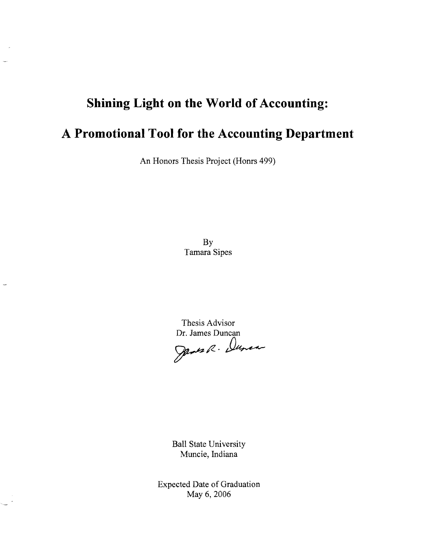## **Shining Light on the World of Accounting:**

# **A Promotional Tool for the Accounting Department**

An Honors Thesis Project (Homs 499)

By Tamara Sipes

Thesis Advisor Dr. James Duncan

James R. Dunca

Ball State University Muncie, Indiana

Expected Date of Graduation May 6, 2006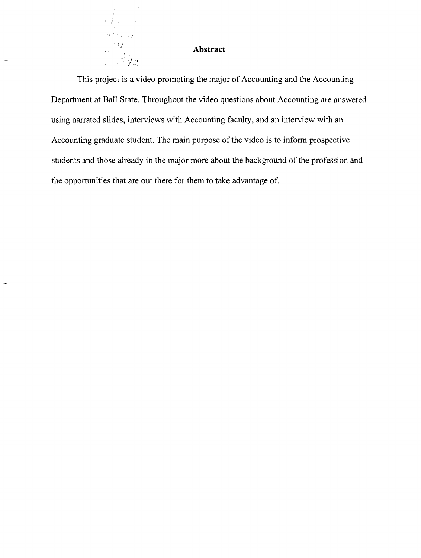#### **Abstract**

 $x_{22}$ 

i.

 $\ddot{v}_{\rm max}$ 

This project is a video promoting the major of Accounting and the Accounting Department at Ball State. Throughout the video questions about Accounting are answered using narrated slides, interviews with Accounting faculty, and an interview with an Accounting graduate student. The main purpose of the video is to inform prospective students and those already in the major more about the background of the profession and the opportunities that are out there for them to take advantage of.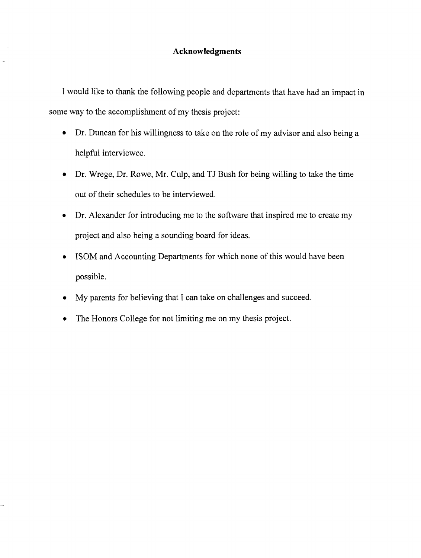#### **Acknowledgments**

I would like to thank the following people and departments that have had an impact in some way to the accomplishment of my thesis project:

- Dr. Duncan for his willingness to take on the role of my advisor and also being a helpful interviewee.
- Dr. Wrege, Dr. Rowe, Mr. Culp, and TJ Bush for being willing to take the time out of their schedules to be interviewed.
- Dr. Alexander for introducing me to the software that inspired me to create my project and also being a sounding board for ideas.
- ISOM and Accounting Departments for which none of this would have been possible.
- My parents for believing that I can take on challenges and succeed.
- The Honors College for not limiting me on my thesis project.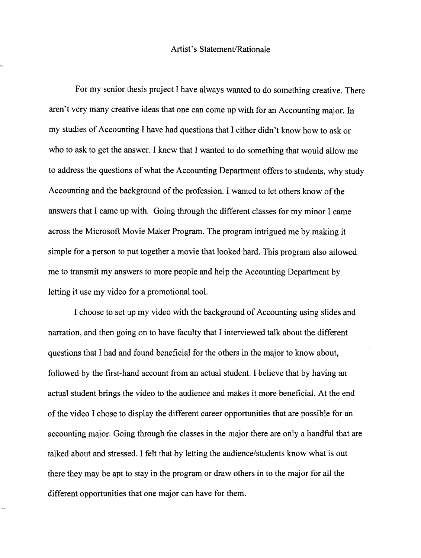#### Artist's Statement/Rationale

For my senior thesis project I have always wanted to do something creative. There aren't very many creative ideas that one can come up with for an Accounting major. In my studies of Accounting I have had questions that I either didn't know how to ask or who to ask to get the answer. I knew that I wanted to do something that would allow me to address the questions of what the Accounting Department offers to students, why study Accounting and the background of the profession. I wanted to let others know of the answers that I came up with. Going through the different classes for my minor I came across the Microsoft Movie Maker Program. The program intrigued me by making it simple for a person to put together a movie that looked hard. This program also allowed me to transmit my answers to more people and help the Accounting Department by letting it use my video for a promotional tool.

I choose to set up my video with the background of Accounting using slides and narration, and then going on to have faculty that I interviewed talk about the different questions that I had and found beneficial for the others in the major to know about, followed by the first-hand account from an actual student. I believe that by having an actual student brings the video to the audience and makes it more beneficial. At the end of the video I chose to display the different career opportunities that are possible for an accounting major. Going through the classes in the major there are only a handful that are talked about and stressed. I felt that by letting the audience/students know what is out there they may be apt to stay in the program or draw others in to the major for all the different opportunities that one major can have for them.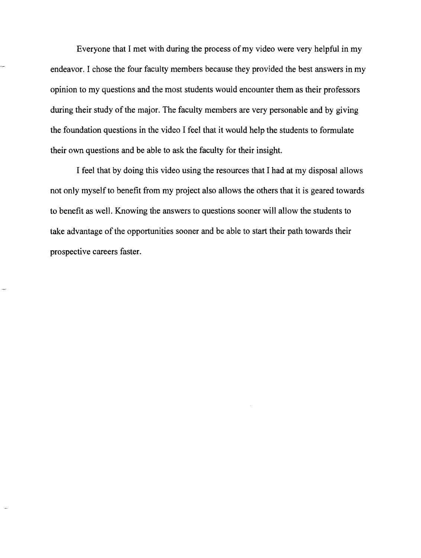Everyone that I met with during the process of my video were very helpful in my endeavor. I chose the four faculty members because they provided the best answers in my opinion to my questions and the most students would encounter them as their professors during their study of the major. The faculty members are very personable and by giving the foundation questions in the video I feel that it would help the students to formulate their own questions and be able to ask the faculty for their insight.

I feel that by doing this video using the resources that I had at my disposal allows not only myself to benefit from my project also allows the others that it is geared towards to benefit as well. Knowing the answers to questions sooner will allow the students to take advantage of the opportunities sooner and be able to start their path towards their prospective careers faster.